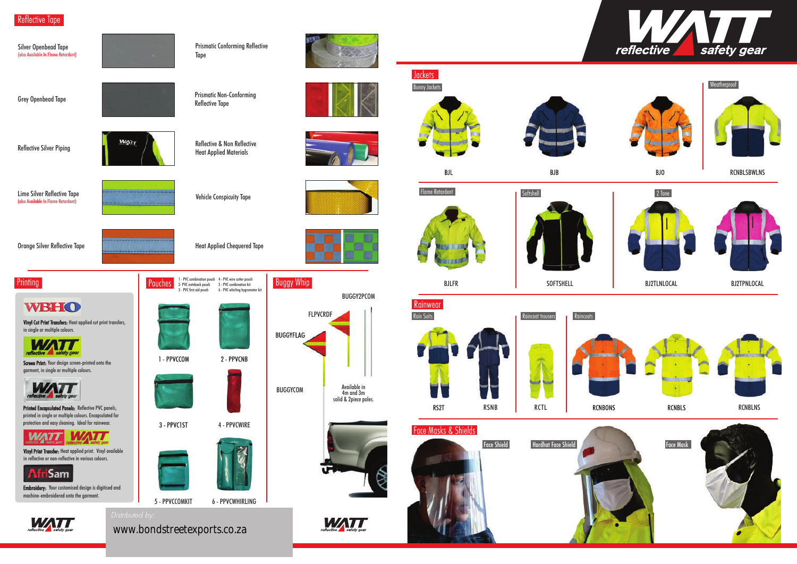Reflective Tape